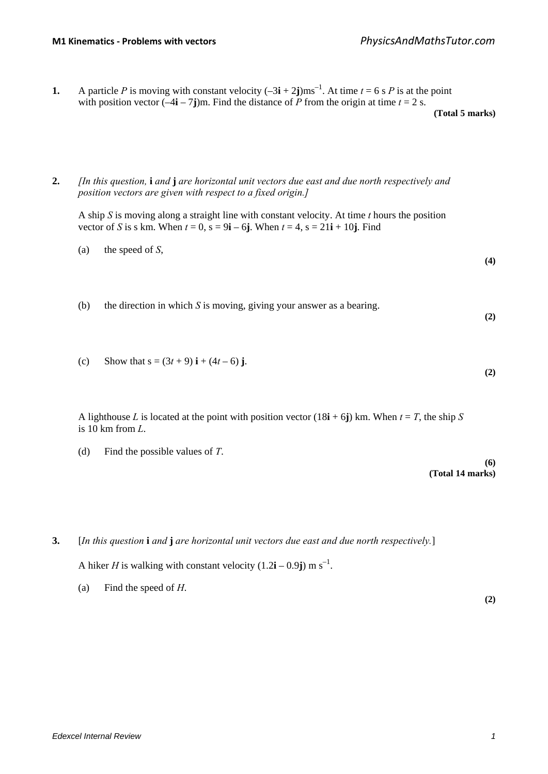**1.** A particle *P* is moving with constant velocity  $(-3\mathbf{i} + 2\mathbf{j})\text{ms}^{-1}$ . At time  $t = 6$  s *P* is at the point with position vector  $\left(-4\mathbf{i} - 7\mathbf{j}\right)$ m. Find the distance of *P* from the origin at time  $t = 2$  s.

**(Total 5 marks)**

## **2.** *[In this question,* **i** *and* **j** *are horizontal unit vectors due east and due north respectively and position vectors are given with respect to a fixed origin.]*

A ship *S* is moving along a straight line with constant velocity. At time *t* hours the position vector of *S* is s km. When  $t = 0$ ,  $s = 9i - 6j$ . When  $t = 4$ ,  $s = 21i + 10j$ . Find

(a) the speed of 
$$
S
$$
,

**(4)**

**(2)**

- (b) the direction in which *S* is moving, giving your answer as a bearing. **(2)**
- (c) Show that  $s = (3t + 9) i + (4t 6) j$ .

A lighthouse *L* is located at the point with position vector  $(18\mathbf{i} + 6\mathbf{j})$  km. When  $t = T$ , the ship *S* is 10 km from *L*.

(d) Find the possible values of *T*.

**(6) (Total 14 marks)**

**3.** [*In this question* **i** *and* **j** *are horizontal unit vectors due east and due north respectively.*]

A hiker *H* is walking with constant velocity  $(1.2\mathbf{i} - 0.9\mathbf{j}) \text{ m s}^{-1}$ .

(a) Find the speed of *H*.

**(2)**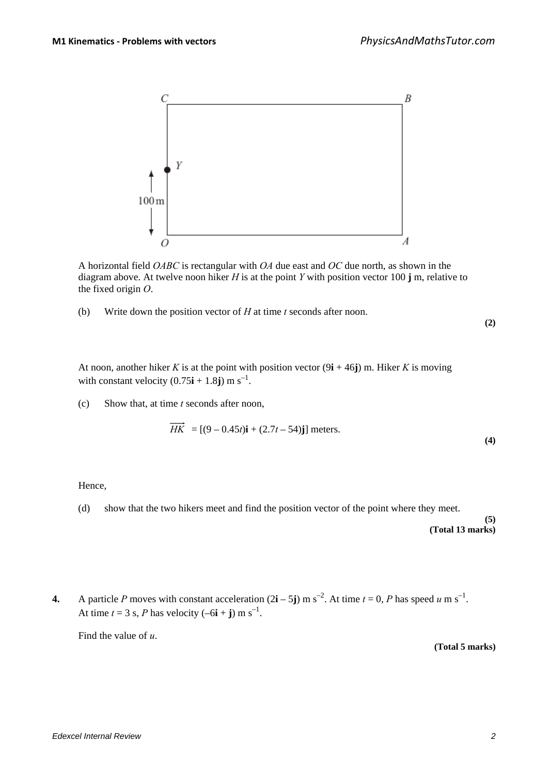

A horizontal field *OABC* is rectangular with *OA* due east and *OC* due north, as shown in the diagram above. At twelve noon hiker *H* is at the point *Y* with position vector 100 **j** m, relative to the fixed origin *O*.

(b) Write down the position vector of *H* at time *t* seconds after noon.

**(2)**

**(4)**

At noon, another hiker *K* is at the point with position vector  $(9i + 46j)$  m. Hiker *K* is moving with constant velocity  $(0.75\mathbf{i} + 1.8\mathbf{j}) \text{ m s}^{-1}$ .

(c) Show that, at time *t* seconds after noon,

$$
\overrightarrow{HK}
$$
 = [(9 – 0.45*t*)**i** + (2.7*t* – 54)**j**] meters.

Hence,

(d) show that the two hikers meet and find the position vector of the point where they meet.

**(5) (Total 13 marks)**

**4.** A particle *P* moves with constant acceleration  $(2\mathbf{i} - 5\mathbf{j})$  m s<sup>-2</sup>. At time  $t = 0$ , *P* has speed *u* m s<sup>-1</sup>. At time  $t = 3$  s, *P* has velocity  $(-6\mathbf{i} + \mathbf{j})$  m s<sup>-1</sup>.

Find the value of *u*.

**(Total 5 marks)**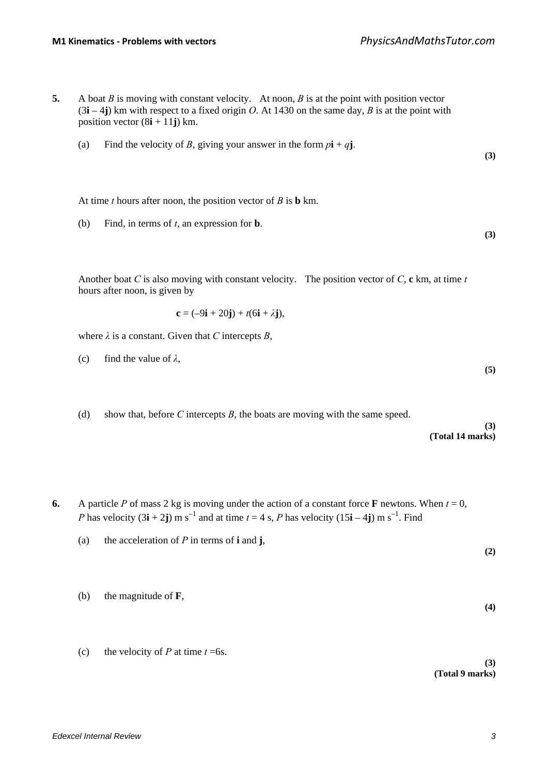- **5.** A boat *B* is moving with constant velocity. At noon, *B* is at the point with position vector  $(3\mathbf{i} - 4\mathbf{j})$  km with respect to a fixed origin *O*. At 1430 on the same day, *B* is at the point with position vector  $(8i + 11j)$  km.
	- (a) Find the velocity of *B*, giving your answer in the form  $p\mathbf{i} + q\mathbf{j}$ .

At time *t* hours after noon, the position vector of *B* is **b** km.

(b) Find, in terms of *t*, an expression for **b**.

Another boat *C* is also moving with constant velocity. The position vector of *C*, **c** km, at time *t* hours after noon, is given by

$$
\mathbf{c} = (-9\mathbf{i} + 20\mathbf{j}) + t(6\mathbf{i} + \lambda \mathbf{j}),
$$

where  $\lambda$  is a constant. Given that *C* intercepts *B*,

- (c) find the value of  $\lambda$ ,
- (d) show that, before *C* intercepts *B*, the boats are moving with the same speed.

#### **(3) (Total 14 marks)**

**(3)**

**(3)**

**(5)**

- **6.** A particle *P* of mass 2 kg is moving under the action of a constant force **F** newtons. When  $t = 0$ , *P* has velocity  $(3\mathbf{i} + 2\mathbf{j})$  m s<sup>-1</sup> and at time  $t = 4$  s, *P* has velocity  $(15\mathbf{i} - 4\mathbf{j})$  m s<sup>-1</sup>. Find
	- (a) the acceleration of  $P$  in terms of **i** and **j**, **(2)**
	- (b) the magnitude of **F**,
	- (c) the velocity of *P* at time  $t = 6s$ .

**(3) (Total 9 marks)**

**(4)**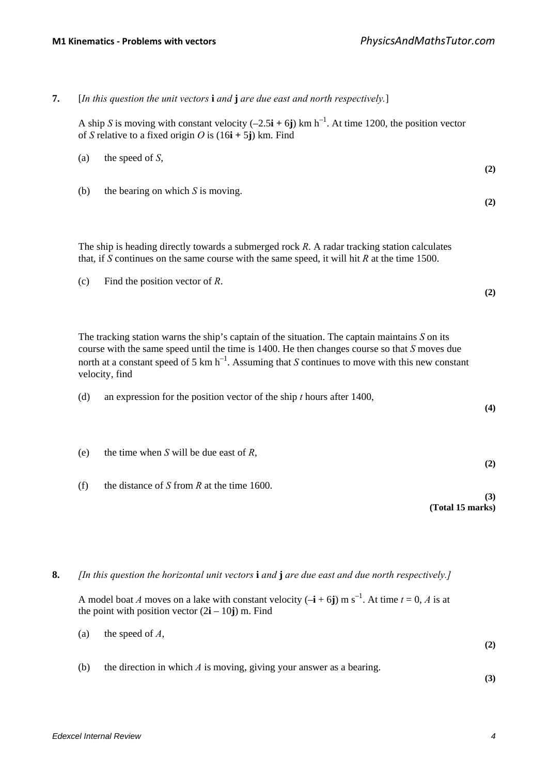|     | A ship S is moving with constant velocity $(-2.5\mathbf{i} + 6\mathbf{j})$ km h <sup>-1</sup> . At time 1200, the position vector<br>of S relative to a fixed origin O is $(16i + 5j)$ km. Find                                                                                                                                   |
|-----|-----------------------------------------------------------------------------------------------------------------------------------------------------------------------------------------------------------------------------------------------------------------------------------------------------------------------------------|
| (a) | the speed of $S$ ,                                                                                                                                                                                                                                                                                                                |
| (b) | the bearing on which $S$ is moving.                                                                                                                                                                                                                                                                                               |
|     | The ship is heading directly towards a submerged rock $R$ . A radar tracking station calculates<br>that, if S continues on the same course with the same speed, it will hit $R$ at the time 1500.                                                                                                                                 |
| (c) | Find the position vector of $R$ .                                                                                                                                                                                                                                                                                                 |
|     |                                                                                                                                                                                                                                                                                                                                   |
|     | The tracking station warns the ship's captain of the situation. The captain maintains $S$ on its<br>course with the same speed until the time is $1400$ . He then changes course so that $S$ moves due<br>north at a constant speed of 5 km $h^{-1}$ . Assuming that S continues to move with this new constant<br>velocity, find |
| (d) | an expression for the position vector of the ship $t$ hours after 1400,                                                                                                                                                                                                                                                           |
| (e) | the time when S will be due east of $R$ ,                                                                                                                                                                                                                                                                                         |

A model boat *A* moves on a lake with constant velocity  $(-\mathbf{i} + 6\mathbf{j})$  m s<sup>-1</sup>. At time  $t = 0$ , *A* is at the point with position vector  $(2\mathbf{i} - 10\mathbf{j})$  m. Find

- (a) the speed of *A*, **(2)**
- (b) the direction in which *A* is moving, giving your answer as a bearing.

**(3)**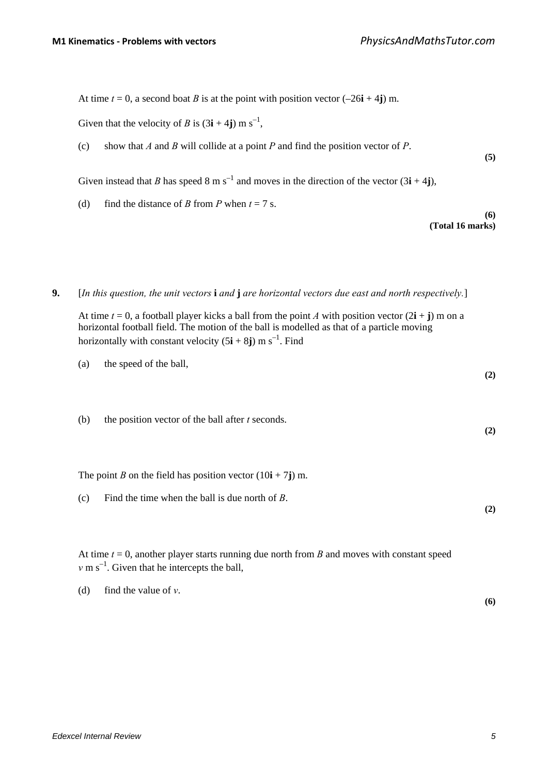**(5)**

**(6)**

**(2)**

**(2)**

**(Total 16 marks)**

At time  $t = 0$ , a second boat *B* is at the point with position vector  $(-26\mathbf{i} + 4\mathbf{j})$  m.

Given that the velocity of *B* is  $(3\mathbf{i} + 4\mathbf{j})$  m s<sup>-1</sup>,

(c) show that *A* and *B* will collide at a point *P* and find the position vector of *P*.

Given instead that *B* has speed 8 m s<sup>-1</sup> and moves in the direction of the vector  $(3\mathbf{i} + 4\mathbf{j})$ ,

(d) find the distance of *B* from *P* when  $t = 7$  s.

**9.** [*In this question, the unit vectors* **i** *and* **j** *are horizontal vectors due east and north respectively.*]

At time  $t = 0$ , a football player kicks a ball from the point *A* with position vector  $(2\mathbf{i} + \mathbf{j})$  m on a horizontal football field. The motion of the ball is modelled as that of a particle moving horizontally with constant velocity  $(5\mathbf{i} + 8\mathbf{j})$  m s<sup>-1</sup>. Find

- (a) the speed of the ball,
- (b) the position vector of the ball after *t* seconds.

The point *B* on the field has position vector  $(10\mathbf{i} + 7\mathbf{j})$  m.

(c) Find the time when the ball is due north of *B*. **(2)**

At time  $t = 0$ , another player starts running due north from *B* and moves with constant speed  $v \text{ m s}^{-1}$ . Given that he intercepts the ball,

(d) find the value of *v*.

**(6)**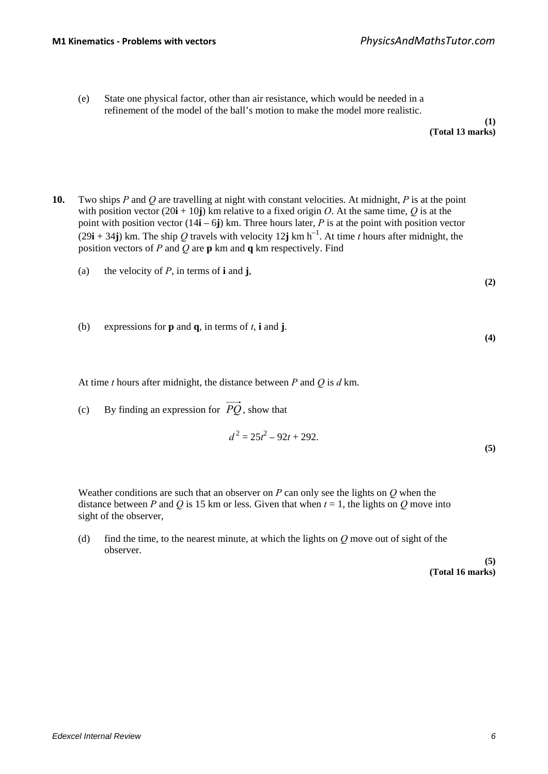(e) State one physical factor, other than air resistance, which would be needed in a refinement of the model of the ball's motion to make the model more realistic.

- **10.** Two ships *P* and *Q* are travelling at night with constant velocities. At midnight, *P* is at the point with position vector  $(20\mathbf{i} + 10\mathbf{j})$  km relative to a fixed origin *O*. At the same time, *Q* is at the point with position vector  $(14\mathbf{i} - 6\mathbf{j})$  km. Three hours later, *P* is at the point with position vector  $(29i + 34j)$  km. The ship *Q* travels with velocity 12**j** km h<sup>-1</sup>. At time *t* hours after midnight, the position vectors of *P* and *Q* are **p** km and **q** km respectively. Find
	- (a) the velocity of *P*, in terms of **i** and **j**,
	- (b) expressions for **p** and **q**, in terms of *t*, **i** and **j**.

At time *t* hours after midnight, the distance between *P* and *Q* is *d* km.

(c) By finding an expression for  $\overrightarrow{PO}$ , show that

$$
d^2 = 25t^2 - 92t + 292.
$$
\n(5)

Weather conditions are such that an observer on *P* can only see the lights on *Q* when the distance between *P* and *Q* is 15 km or less. Given that when  $t = 1$ , the lights on *Q* move into sight of the observer,

(d) find the time, to the nearest minute, at which the lights on *Q* move out of sight of the observer.

> **(5) (Total 16 marks)**

**(2)**

**(4)**

**(1)**

**(Total 13 marks)**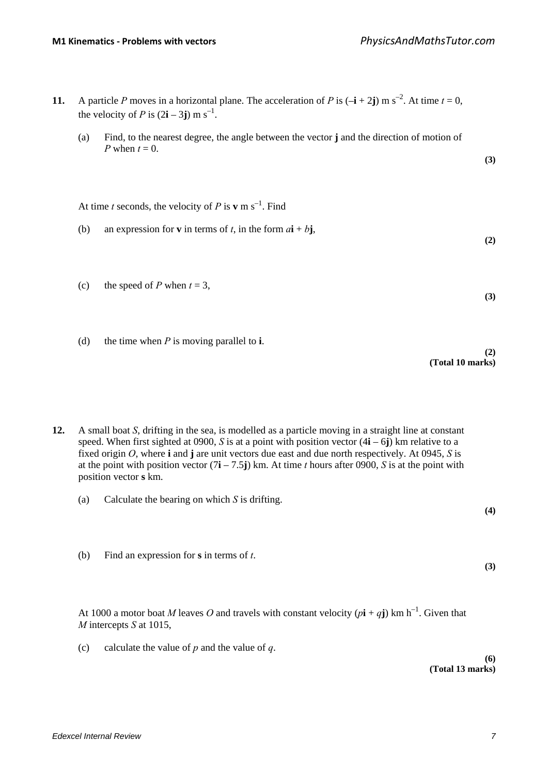- **11.** A particle *P* moves in a horizontal plane. The acceleration of *P* is  $(-\mathbf{i} + 2\mathbf{j})$  m s<sup>-2</sup>. At time  $t = 0$ , the velocity of *P* is  $(2\mathbf{i} - 3\mathbf{j})$  m s<sup>-1</sup>.
	- (a) Find, to the nearest degree, the angle between the vector **j** and the direction of motion of *P* when  $t = 0$ .

At time *t* seconds, the velocity of *P* is **v** m s<sup>-1</sup>. Find

- (b) an expression for **v** in terms of *t*, in the form  $a\mathbf{i} + b\mathbf{j}$ ,
- (c) the speed of *P* when  $t = 3$ ,
- (d) the time when *P* is moving parallel to **i**.

**(2) (Total 10 marks)**

**(3)**

**(2)**

**(3)**

**(4)**

**(3)**

**12.** A small boat *S*, drifting in the sea, is modelled as a particle moving in a straight line at constant speed. When first sighted at 0900, *S* is at a point with position vector  $(4\mathbf{i} - 6\mathbf{j})$  km relative to a fixed origin *O*, where **i** and **j** are unit vectors due east and due north respectively. At 0945, *S* is at the point with position vector  $(7\mathbf{i} - 7.5\mathbf{j})$  km. At time *t* hours after 0900, *S* is at the point with position vector **s** km.

- (a) Calculate the bearing on which *S* is drifting.
- (b) Find an expression for **s** in terms of *t*.

At 1000 a motor boat *M* leaves *O* and travels with constant velocity  $(p\mathbf{i} + q\mathbf{j})$  km h<sup>-1</sup>. Given that *M* intercepts *S* at 1015,

(c) calculate the value of *p* and the value of *q*.

**(6) (Total 13 marks)**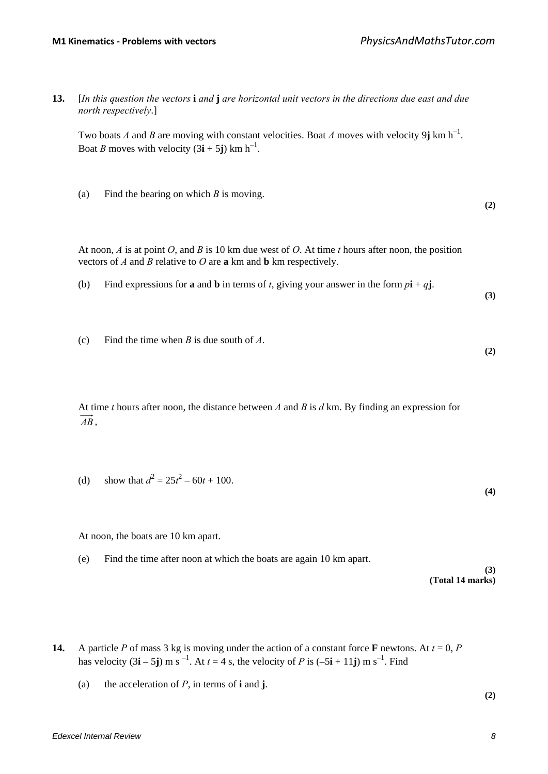**(2)**

**(3)**

**(2)**

**13.** [*In this question the vectors* **i** *and* **j** *are horizontal unit vectors in the directions due east and due north respectively*.]

Two boats *A* and *B* are moving with constant velocities. Boat *A* moves with velocity 9*j* km h<sup>-1</sup>. Boat *B* moves with velocity  $(3\mathbf{i} + 5\mathbf{j})$  km h<sup>-1</sup>.

(a) Find the bearing on which *B* is moving.

At noon, *A* is at point *O*, and *B* is 10 km due west of *O*. At time *t* hours after noon, the position vectors of *A* and *B* relative to *O* are **a** km and **b** km respectively.

- (b) Find expressions for **a** and **b** in terms of *t*, giving your answer in the form  $p\mathbf{i} + q\mathbf{j}$ .
- (c) Find the time when *B* is due south of *A*.

At time *t* hours after noon, the distance between *A* and *B* is *d* km. By finding an expression for *AB* ,

(d) show that 
$$
d^2 = 25t^2 - 60t + 100
$$
. (4)

At noon, the boats are 10 km apart.

(e) Find the time after noon at which the boats are again 10 km apart.

**(3) (Total 14 marks)**

- **14.** A particle *P* of mass 3 kg is moving under the action of a constant force **F** newtons. At  $t = 0$ , *P* has velocity  $(3\mathbf{i} - 5\mathbf{j})$  m s<sup>-1</sup>. At  $t = 4$  s, the velocity of *P* is  $(-5\mathbf{i} + 11\mathbf{j})$  m s<sup>-1</sup>. Find
	- (a) the acceleration of *P*, in terms of **i** and **j**.

**(2)**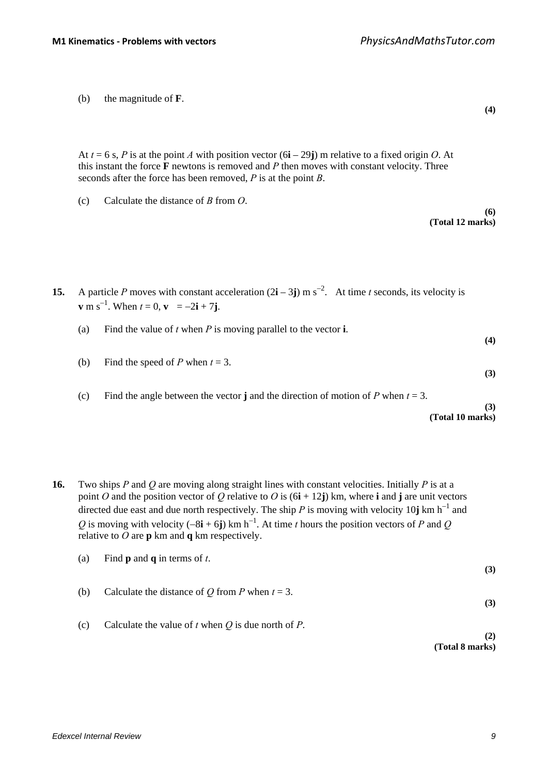(b) the magnitude of **F**.

At  $t = 6$  s, *P* is at the point *A* with position vector  $(6\mathbf{i} - 29\mathbf{j})$  m relative to a fixed origin *O*. At this instant the force **F** newtons is removed and *P* then moves with constant velocity. Three seconds after the force has been removed, *P* is at the point *B*.

(c) Calculate the distance of *B* from *O*.

**(6) (Total 12 marks)**

**(4)**

- **15.** A particle *P* moves with constant acceleration  $(2\mathbf{i} 3\mathbf{j})$  m s<sup>-2</sup>. At time *t* seconds, its velocity is **v** m s<sup>-1</sup>. When  $t = 0$ , **v** =  $-2i + 7j$ .
	- (a) Find the value of *t* when *P* is moving parallel to the vector **i**.
	- (b) Find the speed of *P* when  $t = 3$ .
		- (c) Find the angle between the vector **j** and the direction of motion of *P* when  $t = 3$ .

### **(3) (Total 10 marks)**

**(4)**

**(3)**

**16.** Two ships *P* and *Q* are moving along straight lines with constant velocities. Initially *P* is at a point *O* and the position vector of *Q* relative to *O* is (6**i** + 12**j**) km, where **i** and **j** are unit vectors directed due east and due north respectively. The ship  $P$  is moving with velocity 10**j** km h<sup>-1</sup> and  $Q$  is moving with velocity (−8**i** + 6**j**) km h<sup>-1</sup>. At time *t* hours the position vectors of *P* and  $Q$ relative to *O* are **p** km and **q** km respectively.

| (a) | Find <b>p</b> and <b>q</b> in terms of $t$ .              | (3) |
|-----|-----------------------------------------------------------|-----|
| (b) | Calculate the distance of Q from P when $t = 3$ .         | (3) |
| (c) | Calculate the value of $t$ when $Q$ is due north of $P$ . | (2) |

**(Total 8 marks)**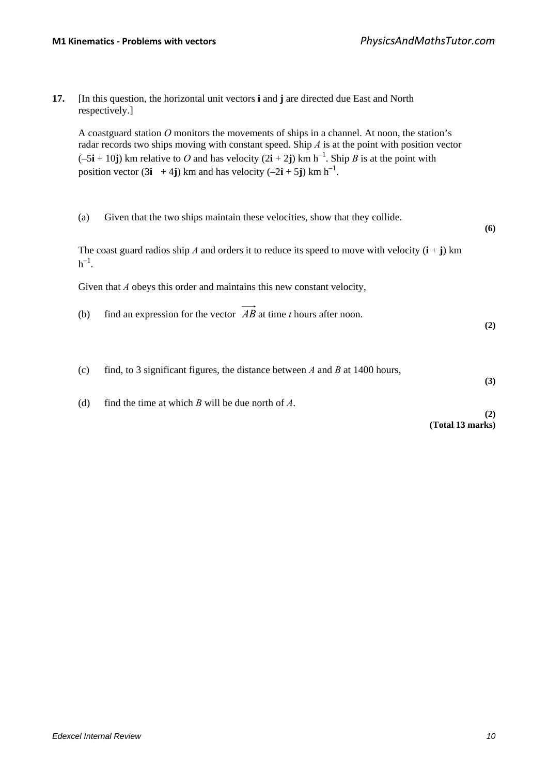**17.** [In this question, the horizontal unit vectors **i** and **j** are directed due East and North respectively.]

A coastguard station *O* monitors the movements of ships in a channel. At noon, the station's radar records two ships moving with constant speed. Ship *A* is at the point with position vector  $(-5\mathbf{i} + 10\mathbf{j})$  km relative to *O* and has velocity  $(2\mathbf{i} + 2\mathbf{j})$  km h<sup>-1</sup>. Ship *B* is at the point with position vector  $(3\mathbf{i} + 4\mathbf{j})$  km and has velocity  $(-2\mathbf{i} + 5\mathbf{j})$  km h<sup>-1</sup>.

(a) Given that the two ships maintain these velocities, show that they collide.

The coast guard radios ship *A* and orders it to reduce its speed to move with velocity  $(i + j)$  km  $h^{-1}$ .

Given that *A* obeys this order and maintains this new constant velocity,

(b) find an expression for the vector  $\overrightarrow{AB}$  at time *t* hours after noon.

**(2)**

**(6)**

- (c) find, to 3 significant figures, the distance between *A* and *B* at 1400 hours, **(3)**
- (d) find the time at which *B* will be due north of *A*.

**(2) (Total 13 marks)**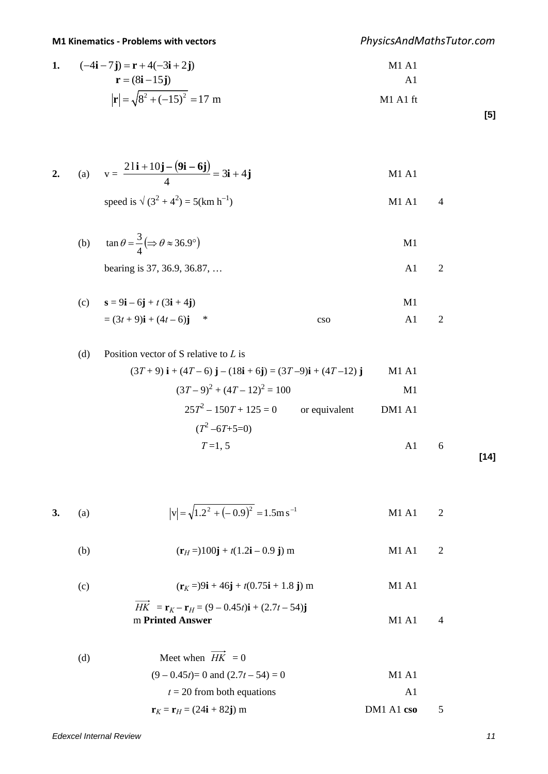# **M1 Kinematics - Problems with vectors** *PhysicsAndMathsTutor.com*

1. 
$$
(-4\mathbf{i} - 7\mathbf{j}) = \mathbf{r} + 4(-3\mathbf{i} + 2\mathbf{j})
$$
  
\n $\mathbf{r} = (8\mathbf{i} - 15\mathbf{j})$   
\n $|\mathbf{r}| = \sqrt{8^2 + (-15)^2} = 17 \text{ m}$   
\nM1 A1 f1  
\nM1 A1 f1

**[5]**

2. (a) 
$$
v = \frac{21i + 10j - (9i - 6j)}{4} = 3i + 4j
$$
 M1 A1

speed is 
$$
\sqrt{(3^2 + 4^2)} = 5(km h^{-1})
$$
 M1 A1 4

(b) 
$$
\tan \theta = \frac{3}{4} (\Rightarrow \theta \approx 36.9^{\circ})
$$
 M1  
bearing is 37, 36.9, 36.87, ... A1 2

(c) 
$$
\mathbf{s} = 9\mathbf{i} - 6\mathbf{j} + t(3\mathbf{i} + 4\mathbf{j})
$$
  
=  $(3t + 9)\mathbf{i} + (4t - 6)\mathbf{j}$ <sup>\*</sup>

(d) Position vector of 
$$
S
$$
 relative to  $L$  is

$$
(3T+9)\mathbf{i} + (4T-6)\mathbf{j} - (18\mathbf{i} + 6\mathbf{j}) = (3T-9)\mathbf{i} + (4T-12)\mathbf{j} \qquad \text{M1 A1}
$$
  

$$
(3T-9)^2 + (4T-12)^2 = 100 \qquad \text{M1}
$$
  

$$
25T^2 - 150T + 125 = 0 \qquad \text{or equivalent} \qquad \text{DM1 A1}
$$
  

$$
(T^2 - 6T + 5 = 0)
$$
  

$$
T = 1, 5 \qquad \text{A1} \qquad 6
$$

**[14]**

3. (a) 
$$
|v| = \sqrt{1.2^2 + (-0.9)^2} = 1.5 \text{m s}^{-1}
$$
 M1 A1 2

(b) 
$$
(\mathbf{r}_H =) 100 \mathbf{j} + t(1.2\mathbf{i} - 0.9 \mathbf{j}) \mathbf{m}
$$
 M1 A1 2

(c) 
$$
(\mathbf{r}_K = 99\mathbf{i} + 46\mathbf{j} + t(0.75\mathbf{i} + 1.8 \mathbf{j}) \text{ m} \qquad \text{M1 A1}
$$
  
\n
$$
\overrightarrow{HK} = \mathbf{r}_K - \mathbf{r}_H = (9 - 0.45t)\mathbf{i} + (2.7t - 54)\mathbf{j}
$$

m **Printed Answer** M1 A1 4

(d) Meet when 
$$
\overrightarrow{HK} = 0
$$
  
\n $(9-0.45t)=0$  and  $(2.7t-54) = 0$   
\n $t = 20$  from both equations  
\n $\mathbf{r}_K = \mathbf{r}_H = (24\mathbf{i} + 82\mathbf{j})$  m  
\n $\mathbf{M1 A1}$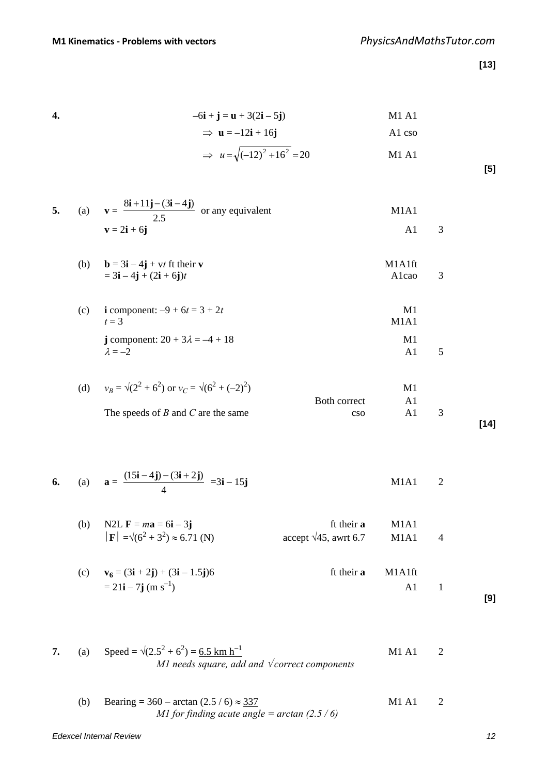**[13]**

**4.**  $-6i + j = u + 3(2i - 5j)$  M1 A1

$$
\Rightarrow \mathbf{u} = -12\mathbf{i} + 16\mathbf{j} \qquad \qquad \text{A1} \text{ cso}
$$

$$
\Rightarrow u = \sqrt{(-12)^2 + 16^2} = 20
$$
 M1 A1

**[5]**

| 5. | $\mathcal{L}$ (a) | $\mathbf{v} = \frac{8\mathbf{i} + 11\mathbf{j} - (3\mathbf{i} - 4\mathbf{j})}{2.5\mathbf{v}}$ or any equivalent | M1A1 |  |
|----|-------------------|-----------------------------------------------------------------------------------------------------------------|------|--|
|    |                   | $\mathbf{v} = 2\mathbf{i} + 6\mathbf{j}$                                                                        |      |  |

(b)  $\mathbf{b} = 3\mathbf{i} - 4\mathbf{j} + \mathbf{v}t$  ft their **v** M1A1ft  $= 3i - 4j + (2i + 6j)t$  A1cao 3

(c) **i** component:  $-9 + 6t = 3 + 2t$  M1<br>  $t = 3$  $t = 3$  M1A1 **j** component:  $20 + 3\lambda = -4 + 18$  M1  $\lambda = -2$  A1 5

| (d) $v_B = \sqrt{2^2 + 6^2}$ or $v_C = \sqrt{6^2 + (-2)^2}$ |              | M1  |      |
|-------------------------------------------------------------|--------------|-----|------|
|                                                             | Both correct |     |      |
| The speeds of $B$ and $C$ are the same                      | CSO.         | A 1 |      |
|                                                             |              |     | [14] |

**6.** (a)  $\mathbf{a} = \frac{(15\mathbf{i} - 4\mathbf{j}) - (3\mathbf{i} + 2\mathbf{j})}{4} = 3\mathbf{i} - 15\mathbf{j}$  M1A1 2

(b) N2L  $\mathbf{F} = m\mathbf{a} = 6\mathbf{i} - 3\mathbf{j}$  ft their **a** M1A1  $|\mathbf{F}| = \sqrt{(6^2 + 3^2)} \approx 6.71$  (N)  $accept \sqrt{45}$ , awrt 6.7 M1A1 4

- (c)  $\mathbf{v}_6 = (3\mathbf{i} + 2\mathbf{j}) + (3\mathbf{i} 1.5\mathbf{j})6$  ft their **a** M1A1ft  $= 21i - 7j$  (m s<sup>-1</sup>) A1 1 **[9]**
- **7.** (a) Speed =  $\sqrt{(2.5)^2 + 6^2}$  = <u>6.5 km h<sup>-1</sup></u> M1 A1 2 *M1 needs square, add and* √ *correct components*
	- (b) Bearing = 360 arctan  $(2.5 / 6) \approx 337$  M1 A1 2 *M1 for finding acute angle = arctan (2.5 / 6)*

*Edexcel Internal Review 12*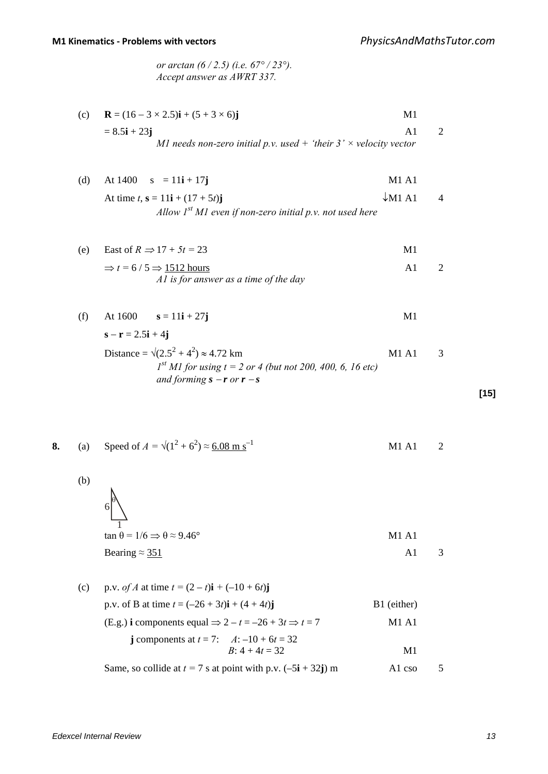*or arctan (6 / 2.5) (i.e. 67° / 23°). Accept answer as AWRT 337.*

| (c) | ${\bf R} = (16 - 3 \times 2.5){\bf i} + (5 + 3 \times 6){\bf j}$         | M1             |                             |
|-----|--------------------------------------------------------------------------|----------------|-----------------------------|
|     | $= 8.5i + 23j$                                                           | A1             | 2                           |
|     | MI needs non-zero initial p.v. used + 'their $3' \times$ velocity vector |                |                             |
|     |                                                                          |                |                             |
| (d) | At 1400 $s = 11i + 17j$                                                  | <b>M1 A1</b>   |                             |
|     | At time $t$ , $s = 11i + (17 + 5t)j$                                     | $\sqrt{M1 A1}$ | 4                           |
|     | Allow $I^{st}$ M1 even if non-zero initial p.v. not used here            |                |                             |
|     |                                                                          |                |                             |
| (e) | East of $R \implies 17 + 5t = 23$                                        | M1             |                             |
|     | $\Rightarrow$ t = 6/5 $\Rightarrow$ 1512 hours                           | A <sub>1</sub> | $\mathcal{D}_{\mathcal{L}}$ |
|     | Al is for answer as a time of the day                                    |                |                             |
|     |                                                                          |                |                             |
| (f) | At $1600$ $s = 11i + 27j$                                                | M1             |                             |
|     | $s - r = 2.5i + 4j$                                                      |                |                             |
|     | Distance = $\sqrt{(2.5^2 + 4^2)} \approx 4.72$ km                        | <b>M1 A1</b>   | 3                           |
|     | $I^{st}$ M1 for using $t = 2$ or 4 (but not 200, 400, 6, 16 etc)         |                |                             |
|     | and forming $s - r$ or $r - s$                                           |                |                             |

**[15]**

8. (a) Speed of 
$$
A = \sqrt{(1^2 + 6^2)} \approx \frac{6.08 \text{ m s}^{-1}}{2}
$$
 M1 A1 2

$$
60\n\n\n
$$
\tan \theta = 1/6 \Rightarrow \theta \approx 9.46^\circ
$$
\n
$$
\tan \theta = 1/6 \Rightarrow \theta \approx 9.46^\circ
$$
\n
$$
\text{Meaning} \approx \frac{351}{}
$$
$$

| (c) | p.v. of A at time $t = (2 - t)\mathbf{i} + (-10 + 6t)\mathbf{j}$             |                    |   |
|-----|------------------------------------------------------------------------------|--------------------|---|
|     | p.v. of B at time $t = (-26 + 3t)\mathbf{i} + (4 + 4t)\mathbf{j}$            | B1 (either)        |   |
|     | (E.g.) i components equal $\Rightarrow$ 2 – t = –26 + 3t $\Rightarrow$ t = 7 | M1 A1              |   |
|     | j components at $t = 7$ : $A:-10 + 6t = 32$<br>$B: 4 + 4t = 32$              | M1                 |   |
|     | Same, so collide at $t = 7$ s at point with p.v. $(-5i + 32j)$ m             | A <sub>1</sub> cso | 5 |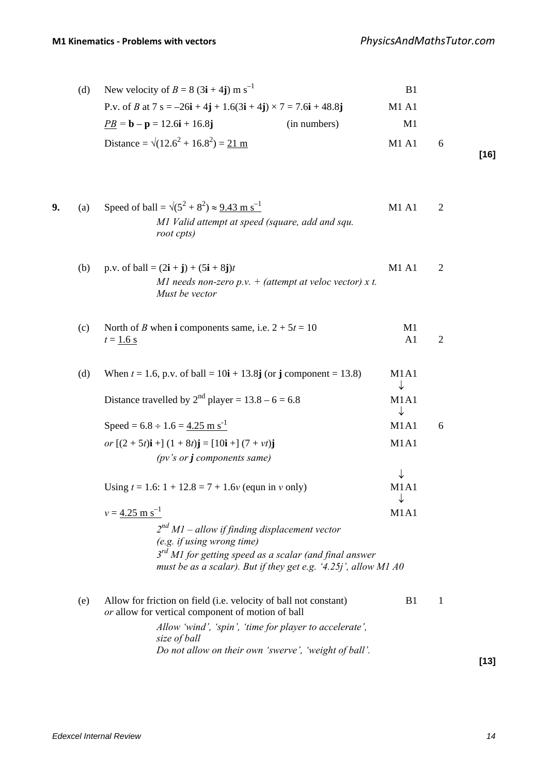| (d) New velocity of $B = 8(3i + 4j)$ m s <sup>-1</sup>                |              | B1    |            |  |
|-----------------------------------------------------------------------|--------------|-------|------------|--|
| P.v. of B at 7 s = $-26i + 4j + 1.6(3i + 4j) \times 7 = 7.6i + 48.8j$ |              | M1 A1 |            |  |
| $PB = b - p = 12.6i + 16.8j$                                          | (in numbers) | M1    |            |  |
| Distance = $\sqrt{(12.6^2 + 16.8^2)}$ = 21 m                          |              | M1A1  | $\sqrt{2}$ |  |

**[16]**

| 9. | (a) | Speed of ball = $\sqrt{(5^2 + 8^2)} \approx 9.43 \text{ m s}^{-1}$                                                          | M1 A1                | $\overline{2}$ |
|----|-----|-----------------------------------------------------------------------------------------------------------------------------|----------------------|----------------|
|    |     | MI Valid attempt at speed (square, add and squ.<br>root cpts)                                                               |                      |                |
|    | (b) | p.v. of ball = $(2i + j) + (5i + 8j)t$<br>MI needs non-zero $p.v.$ + (attempt at veloc vector) x t.<br>Must be vector       | <b>M1 A1</b>         | $\overline{2}$ |
|    | (c) | North of <i>B</i> when <b>i</b> components same, i.e. $2 + 5t = 10$<br>$t = 1.6$ s                                          | M1<br>A <sub>1</sub> | $\overline{2}$ |
|    | (d) | When $t = 1.6$ , p.v. of ball = 10 <b>i</b> + 13.8 <b>j</b> (or <b>j</b> component = 13.8)                                  | M1A1<br>↓            |                |
|    |     | Distance travelled by $2^{nd}$ player = 13.8 – 6 = 6.8                                                                      | M1A1<br>↓            |                |
|    |     | Speed = $6.8 \div 1.6 = 4.25$ m s <sup>-1</sup>                                                                             | M1A1                 | 6              |
|    |     | or $[(2+5t)i]$ + $[(1+8t)j]$ = $[10i]$ + $[(7+vt)j]$<br>( $pv's$ or $j$ components same)                                    | M1A1                 |                |
|    |     | Using $t = 1.6$ : $1 + 12.8 = 7 + 1.6v$ (equn in v only)                                                                    | ↓<br>M1A1            |                |
|    |     | $v = 4.25$ m s <sup>-1</sup><br>$2nd$ M1 - allow if finding displacement vector<br>(e.g. if using wrong time)               | M1A1                 |                |
|    |     | $3rd$ M1 for getting speed as a scalar (and final answer<br>must be as a scalar). But if they get e.g. '4.25j', allow M1 A0 |                      |                |
|    | (e) | Allow for friction on field (i.e. velocity of ball not constant)<br>or allow for vertical component of motion of ball       | B1                   | 1              |
|    |     | Allow 'wind', 'spin', 'time for player to accelerate',<br>size of ball                                                      |                      |                |
|    |     | Do not allow on their own 'swerve', 'weight of ball'.                                                                       |                      |                |

**[13]**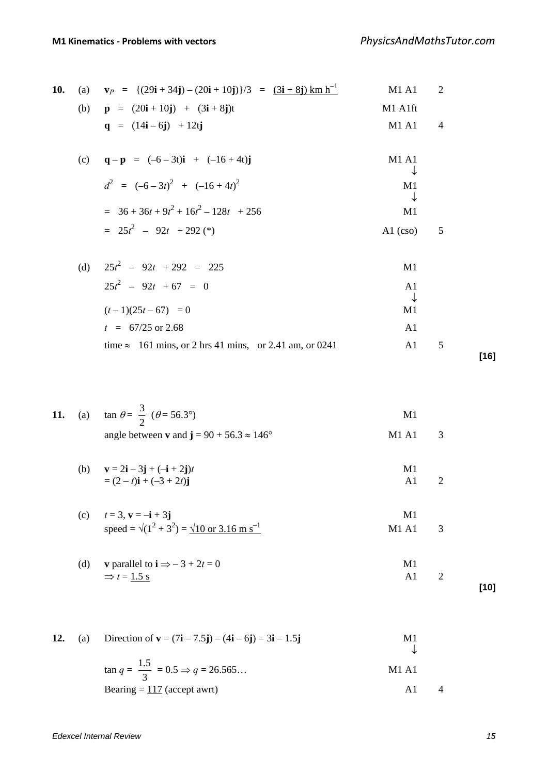| 10. | (a) | $\mathbf{v}_P = \{ (29\mathbf{i} + 34\mathbf{j}) - (20\mathbf{i} + 10\mathbf{j}) \}/3 = \frac{(3\mathbf{i} + 8\mathbf{j}) \text{ km h}^{-1}}{2}$ | M1 A1               | $\overline{2}$ |  |
|-----|-----|--------------------------------------------------------------------------------------------------------------------------------------------------|---------------------|----------------|--|
|     |     | (b) $p = (20i + 10j) + (3i + 8j)t$                                                                                                               | M1 A1ft             |                |  |
|     |     | $q = (14i - 6j) + 12tj$                                                                                                                          | M1 A1               | $\overline{4}$ |  |
|     | (c) | $\mathbf{q} - \mathbf{p} = (-6 - 3t)\mathbf{i} + (-16 + 4t)\mathbf{j}$                                                                           | M1 A1               |                |  |
|     |     | $d^{2} = (-6-3t)^{2} + (-16+4t)^{2}$                                                                                                             | ↓<br>M1<br>↓        |                |  |
|     |     | $=$ 36 + 36t + 9t <sup>2</sup> + 16t <sup>2</sup> - 128t + 256                                                                                   | M1                  |                |  |
|     |     | $= 25t^2 - 92t + 292$ (*)                                                                                                                        | $A1$ (cso)          | 5              |  |
|     | (d) | $25t^2 - 92t + 292 = 225$                                                                                                                        | M1                  |                |  |
|     |     | $25t^2 - 92t + 67 = 0$                                                                                                                           | A <sub>1</sub><br>↓ |                |  |
|     |     | $(t-1)(25t-67) = 0$                                                                                                                              | M1                  |                |  |
|     |     | $t = 67/25$ or 2.68                                                                                                                              | A <sub>1</sub>      |                |  |
|     |     | time $\approx$ 161 mins, or 2 hrs 41 mins, or 2.41 am, or 0241                                                                                   | A <sub>1</sub>      | 5              |  |

**11.** (a)  $\tan \theta = \frac{3}{2}$  ( $\theta = 56.3^{\circ}$ ) M1 angle between **v** and  $j = 90 + 56.3 \approx 146^{\circ}$  M1 A1 3

(b)  $\mathbf{v} = 2\mathbf{i} - 3\mathbf{j} + (-\mathbf{i} + 2\mathbf{j})t$  M1  $=(2-t)\mathbf{i} + (-3+2t)\mathbf{j}$  A1 2

(c) 
$$
t = 3
$$
,  $\mathbf{v} = -\mathbf{i} + 3\mathbf{j}$   
speed =  $\sqrt{(1^2 + 3^2)} = \sqrt{10 \text{ or } 3.16 \text{ m s}^{-1}}$   
M1 A1 3

(d) **v** parallel to 
$$
\mathbf{i} \Rightarrow -3 + 2t = 0
$$
  
\n $\Rightarrow t = 1.5 \text{ s}$    
\n**M1** 2

**[10]**

**[16]**

12. (a) Direction of 
$$
\mathbf{v} = (7\mathbf{i} - 7.5\mathbf{j}) - (4\mathbf{i} - 6\mathbf{j}) = 3\mathbf{i} - 1.5\mathbf{j}
$$
  
\n $\tan q = \frac{1.5}{3} = 0.5 \Rightarrow q = 26.565...$  M1 A1  
\nBearing =  $\frac{117}{3}$  (accept awrt) A1 4

*Edexcel Internal Review 15*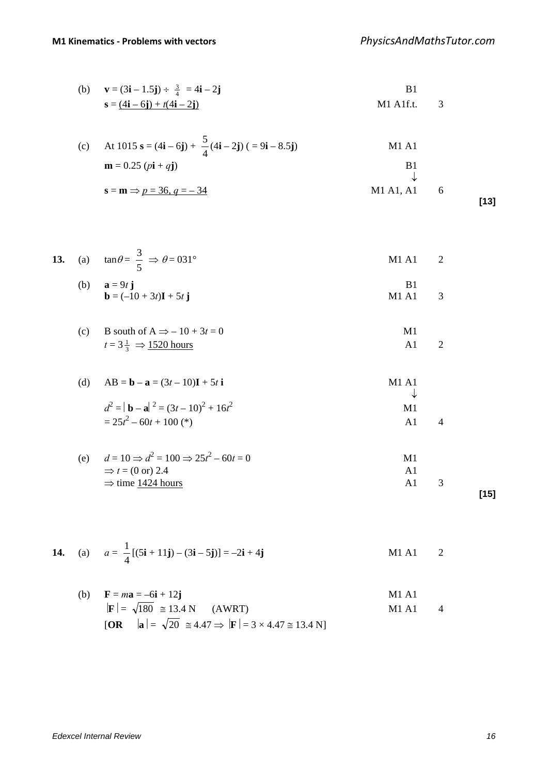(b) 
$$
\mathbf{v} = (3\mathbf{i} - 1.5\mathbf{j}) \div \frac{3}{4} = 4\mathbf{i} - 2\mathbf{j}
$$
  
\n $\mathbf{s} = \underline{(4\mathbf{i} - 6\mathbf{j}) + t(4\mathbf{i} - 2\mathbf{j})}$    
\nM1 A1f.t. 3

(c) At 1015 s = (4i – 6j) + 
$$
\frac{5}{4}
$$
(4i – 2j) (= 9i – 8.5j)  
\nm = 0.25 (pi + qj)  
\n8 = m  $\Rightarrow$  p = 36, q = -34  
\nM1 A1, A1  
\n6

**[13]**

**13.** (a) 
$$
\tan \theta = \frac{3}{5} \implies \theta = 031^{\circ}
$$
 M1 A1 2

(b) 
$$
\mathbf{a} = 9t \mathbf{j}
$$
  
\n $\mathbf{b} = (-10 + 3t)\mathbf{I} + 5t \mathbf{j}$   
\nM1 A1 3

(c) B south of A 
$$
\Rightarrow
$$
 - 10 + 3t = 0  
\n $t = 3\frac{1}{3} \Rightarrow \frac{1520 \text{ hours}}{}$  A1 2

(d) 
$$
AB = b - a = (3t - 10)I + 5t i
$$
   
M1 A1

$$
d^{2} = |\mathbf{b} - \mathbf{a}|^{2} = (3t - 10)^{2} + 16t^{2}
$$
  
= 25t<sup>2</sup> - 60t + 100 (\*)  
  
Al 4

(e) 
$$
d = 10 \Rightarrow d^2 = 100 \Rightarrow 25t^2 - 60t = 0
$$
  
\n $\Rightarrow t = (0 \text{ or } 2.4$   
\n $\Rightarrow \text{time } \underline{1424 \text{ hours}}$   
\n[15]

**14.** (a) 
$$
a = \frac{1}{4} [(5\mathbf{i} + 11\mathbf{j}) - (3\mathbf{i} - 5\mathbf{j})] = -2\mathbf{i} + 4\mathbf{j}
$$
 M1 A1 2

(b) 
$$
\mathbf{F} = m\mathbf{a} = -6\mathbf{i} + 12\mathbf{j}
$$
  
\n $|\mathbf{F}| = \sqrt{180} \approx 13.4 \text{ N}$  (AWRT)  
\n[OR  $|\mathbf{a}| = \sqrt{20} \approx 4.47 \Rightarrow |\mathbf{F}| = 3 \times 4.47 \approx 13.4 \text{ N}$ ]  
\nM1 A1 4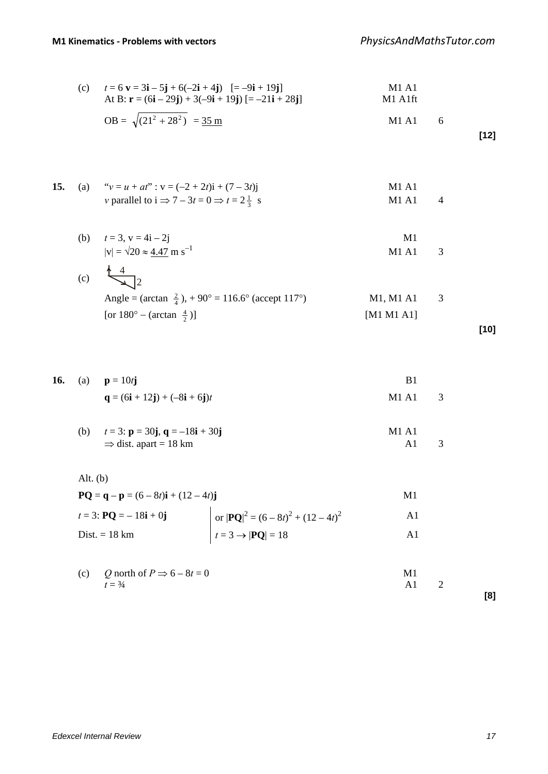(c) 
$$
t = 6 \text{ v} = 3\text{i} - 5\text{j} + 6(-2\text{i} + 4\text{j})
$$
  $[-9\text{i} + 19\text{j}]$   
\nAt B:  $\text{r} = (6\text{i} - 29\text{j}) + 3(-9\text{i} + 19\text{j})$   $[-21\text{i} + 28\text{j}]$   
\n $OB = \sqrt{(21^2 + 28^2)} = 35 \text{ m}$   
\nM1 A1 f1

$$
[12]
$$

**15.** (a) "
$$
v = u + at
$$
" :  $v = (-2 + 2t)i + (7 - 3t)j$   
\n*v* parallel to  $i \Rightarrow 7 - 3t = 0 \Rightarrow t = 2\frac{1}{3}$  s  
\nM1 A1

(b) 
$$
t = 3, v = 4i - 2j
$$
  
\n $|v| = \sqrt{20} \approx \frac{4.47}{2.5} \text{ m s}^{-1}$  M1 A1 3

(c) 
$$
\frac{4}{\sqrt{4}} = 2
$$
  
Angle = (arctan  $\frac{2}{4}$ ), + 90° = 116.6° (accept 117°)  
For 180° - (arctan  $\frac{4}{2}$ )] [M1 M1 A1] [M1 A1]

$$
[10]
$$

|  | <b>16.</b> (a) $p = 10tj$                                                   |         |  |
|--|-----------------------------------------------------------------------------|---------|--|
|  | $\mathbf{q} = (6\mathbf{i} + 12\mathbf{j}) + (-8\mathbf{i} + 6\mathbf{j})t$ | M1 A1 3 |  |

(b) 
$$
t = 3
$$
:  $\mathbf{p} = 30\mathbf{j}, \mathbf{q} = -18\mathbf{i} + 30\mathbf{j}$   
\n $\Rightarrow$  dist. apart = 18 km  
\nA1 3

$$
Alt. (b)
$$

$$
\mathbf{PQ} = \mathbf{q} - \mathbf{p} = (6 - 8t)\mathbf{i} + (12 - 4t)\mathbf{j}
$$
\n
$$
t = 3: \mathbf{PQ} = -18\mathbf{i} + 0\mathbf{j}
$$
\n
$$
\text{Dist.} = 18 \text{ km}
$$
\n
$$
t = 3 \rightarrow |\mathbf{PQ}| = 18
$$
\n
$$
t = 3 \rightarrow |\mathbf{PQ}| = 18
$$
\n
$$
\text{A1}
$$

| (c) Q north of $P \Rightarrow 6 - 8t = 0$ | M1 |     |
|-------------------------------------------|----|-----|
| $t = \frac{3}{4}$                         | A1 |     |
|                                           |    | [8] |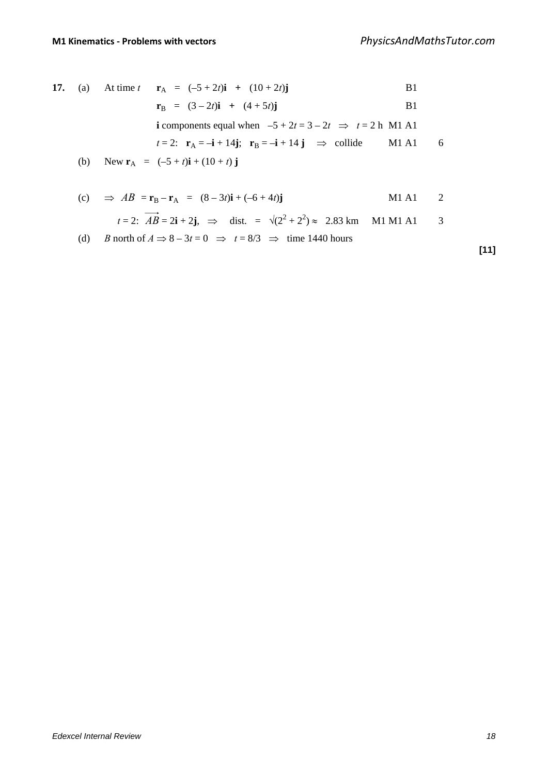17. (a) At time 
$$
t
$$
  $\mathbf{r}_A = (-5 + 2t)\mathbf{i} + (10 + 2t)\mathbf{j}$  B1  
\n $\mathbf{r}_B = (3 - 2t)\mathbf{i} + (4 + 5t)\mathbf{j}$  B1  
\ni components equal when  $-5 + 2t = 3 - 2t \Rightarrow t = 2$  h M1 A1  
\n $t = 2$ :  $\mathbf{r}_A = -\mathbf{i} + 14\mathbf{j}$ ;  $\mathbf{r}_B = -\mathbf{i} + 14\mathbf{j} \Rightarrow$  collide M1 A1 6  
\n(b) New  $\mathbf{r}_A = (-5 + t)\mathbf{i} + (10 + t)\mathbf{j}$   
\n(c)  $\Rightarrow AB = \mathbf{r}_B - \mathbf{r}_A = (8 - 3t)\mathbf{i} + (-6 + 4t)\mathbf{j}$  M1 A1 2

$$
t = 2
$$
:  $\overrightarrow{AB} = 2i + 2j$ ,  $\implies$  dist.  $= \sqrt{(2^2 + 2^2)} \approx 2.83$  km M1 M1 A1 3

(d) *B* north of 
$$
A \Rightarrow 8 - 3t = 0 \Rightarrow t = 8/3 \Rightarrow
$$
 time 1440 hours

**[11]**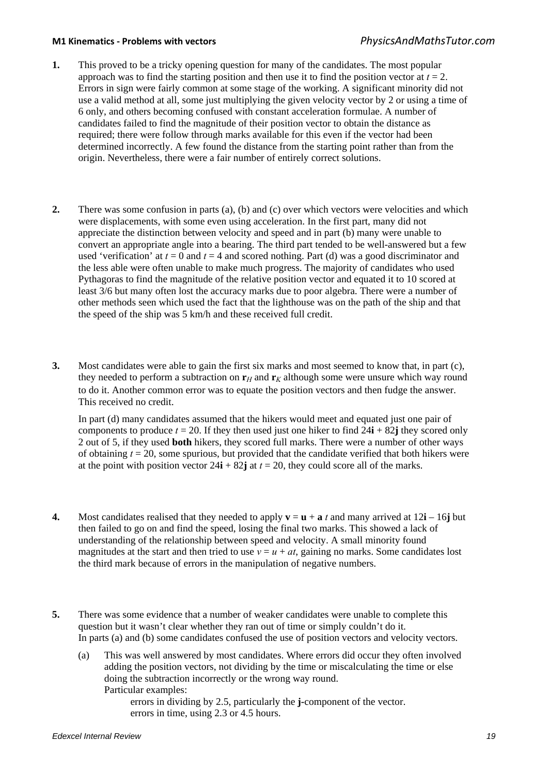### **M1 Kinematics - Problems with vectors** *PhysicsAndMathsTutor.com*

- **1.** This proved to be a tricky opening question for many of the candidates. The most popular approach was to find the starting position and then use it to find the position vector at  $t = 2$ . Errors in sign were fairly common at some stage of the working. A significant minority did not use a valid method at all, some just multiplying the given velocity vector by 2 or using a time of 6 only, and others becoming confused with constant acceleration formulae. A number of candidates failed to find the magnitude of their position vector to obtain the distance as required; there were follow through marks available for this even if the vector had been determined incorrectly. A few found the distance from the starting point rather than from the origin. Nevertheless, there were a fair number of entirely correct solutions.
- **2.** There was some confusion in parts (a), (b) and (c) over which vectors were velocities and which were displacements, with some even using acceleration. In the first part, many did not appreciate the distinction between velocity and speed and in part (b) many were unable to convert an appropriate angle into a bearing. The third part tended to be well-answered but a few used 'verification' at  $t = 0$  and  $t = 4$  and scored nothing. Part (d) was a good discriminator and the less able were often unable to make much progress. The majority of candidates who used Pythagoras to find the magnitude of the relative position vector and equated it to 10 scored at least 3/6 but many often lost the accuracy marks due to poor algebra. There were a number of other methods seen which used the fact that the lighthouse was on the path of the ship and that the speed of the ship was 5 km/h and these received full credit.
- **3.** Most candidates were able to gain the first six marks and most seemed to know that, in part (c), they needed to perform a subtraction on  $\mathbf{r}_H$  and  $\mathbf{r}_K$  although some were unsure which way round to do it. Another common error was to equate the position vectors and then fudge the answer. This received no credit.

 In part (d) many candidates assumed that the hikers would meet and equated just one pair of components to produce  $t = 20$ . If they then used just one hiker to find  $24\mathbf{i} + 82\mathbf{i}$  they scored only 2 out of 5, if they used **both** hikers, they scored full marks. There were a number of other ways of obtaining  $t = 20$ , some spurious, but provided that the candidate verified that both hikers were at the point with position vector  $24\mathbf{i} + 82\mathbf{j}$  at  $t = 20$ , they could score all of the marks.

- **4.** Most candidates realised that they needed to apply  $\mathbf{v} = \mathbf{u} + \mathbf{a}t$  and many arrived at  $12\mathbf{i} 16\mathbf{j}$  but then failed to go on and find the speed, losing the final two marks. This showed a lack of understanding of the relationship between speed and velocity. A small minority found magnitudes at the start and then tried to use  $v = u + at$ , gaining no marks. Some candidates lost the third mark because of errors in the manipulation of negative numbers.
- **5.** There was some evidence that a number of weaker candidates were unable to complete this question but it wasn't clear whether they ran out of time or simply couldn't do it. In parts (a) and (b) some candidates confused the use of position vectors and velocity vectors.
	- (a) This was well answered by most candidates. Where errors did occur they often involved adding the position vectors, not dividing by the time or miscalculating the time or else doing the subtraction incorrectly or the wrong way round. Particular examples:

errors in dividing by 2.5, particularly the **j-**component of the vector. errors in time, using 2.3 or 4.5 hours.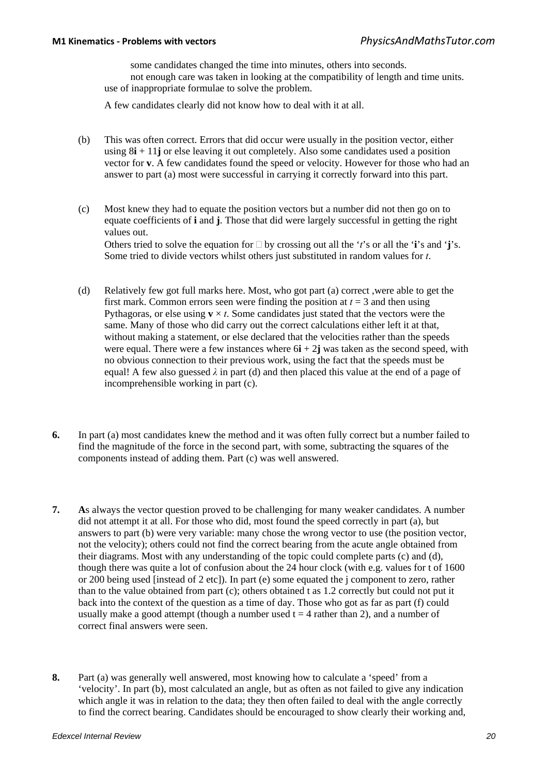some candidates changed the time into minutes, others into seconds.

not enough care was taken in looking at the compatibility of length and time units. use of inappropriate formulae to solve the problem.

A few candidates clearly did not know how to deal with it at all.

- (b) This was often correct. Errors that did occur were usually in the position vector, either using 8**i** + 11**j** or else leaving it out completely. Also some candidates used a position vector for **v**. A few candidates found the speed or velocity. However for those who had an answer to part (a) most were successful in carrying it correctly forward into this part.
- (c) Most knew they had to equate the position vectors but a number did not then go on to equate coefficients of **i** and **j**. Those that did were largely successful in getting the right values out. Others tried to solve the equation for  $\Box$  by crossing out all the '*t*'s or all the '**i**'s and '**j**'s.

Some tried to divide vectors whilst others just substituted in random values for *t*.

- (d) Relatively few got full marks here. Most, who got part (a) correct ,were able to get the first mark. Common errors seen were finding the position at  $t = 3$  and then using Pythagoras, or else using  $\mathbf{v} \times t$ . Some candidates just stated that the vectors were the same. Many of those who did carry out the correct calculations either left it at that, without making a statement, or else declared that the velocities rather than the speeds were equal. There were a few instances where  $6\mathbf{i} + 2\mathbf{j}$  was taken as the second speed, with no obvious connection to their previous work, using the fact that the speeds must be equal! A few also guessed  $\lambda$  in part (d) and then placed this value at the end of a page of incomprehensible working in part (c).
- **6.** In part (a) most candidates knew the method and it was often fully correct but a number failed to find the magnitude of the force in the second part, with some, subtracting the squares of the components instead of adding them. Part (c) was well answered.
- **7. A**s always the vector question proved to be challenging for many weaker candidates. A number did not attempt it at all. For those who did, most found the speed correctly in part (a), but answers to part (b) were very variable: many chose the wrong vector to use (the position vector, not the velocity); others could not find the correct bearing from the acute angle obtained from their diagrams. Most with any understanding of the topic could complete parts (c) and (d), though there was quite a lot of confusion about the 24 hour clock (with e.g. values for t of 1600 or 200 being used [instead of 2 etc]). In part (e) some equated the j component to zero, rather than to the value obtained from part (c); others obtained t as 1.2 correctly but could not put it back into the context of the question as a time of day. Those who got as far as part (f) could usually make a good attempt (though a number used  $t = 4$  rather than 2), and a number of correct final answers were seen.
- **8.** Part (a) was generally well answered, most knowing how to calculate a 'speed' from a 'velocity'. In part (b), most calculated an angle, but as often as not failed to give any indication which angle it was in relation to the data; they then often failed to deal with the angle correctly to find the correct bearing. Candidates should be encouraged to show clearly their working and,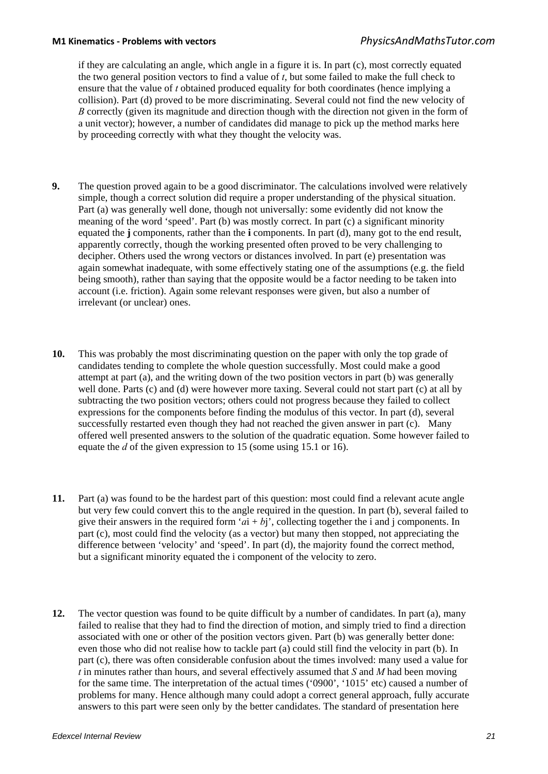## **M1 Kinematics - Problems with vectors** *PhysicsAndMathsTutor.com*

if they are calculating an angle, which angle in a figure it is. In part (c), most correctly equated the two general position vectors to find a value of *t*, but some failed to make the full check to ensure that the value of *t* obtained produced equality for both coordinates (hence implying a collision). Part (d) proved to be more discriminating. Several could not find the new velocity of *B* correctly (given its magnitude and direction though with the direction not given in the form of a unit vector); however, a number of candidates did manage to pick up the method marks here by proceeding correctly with what they thought the velocity was.

- **9.** The question proved again to be a good discriminator. The calculations involved were relatively simple, though a correct solution did require a proper understanding of the physical situation. Part (a) was generally well done, though not universally: some evidently did not know the meaning of the word 'speed'. Part (b) was mostly correct. In part (c) a significant minority equated the **j** components, rather than the **i** components. In part (d), many got to the end result, apparently correctly, though the working presented often proved to be very challenging to decipher. Others used the wrong vectors or distances involved. In part (e) presentation was again somewhat inadequate, with some effectively stating one of the assumptions (e.g. the field being smooth), rather than saying that the opposite would be a factor needing to be taken into account (i.e. friction). Again some relevant responses were given, but also a number of irrelevant (or unclear) ones.
- **10.** This was probably the most discriminating question on the paper with only the top grade of candidates tending to complete the whole question successfully. Most could make a good attempt at part (a), and the writing down of the two position vectors in part (b) was generally well done. Parts (c) and (d) were however more taxing. Several could not start part (c) at all by subtracting the two position vectors; others could not progress because they failed to collect expressions for the components before finding the modulus of this vector. In part (d), several successfully restarted even though they had not reached the given answer in part (c). Many offered well presented answers to the solution of the quadratic equation. Some however failed to equate the *d* of the given expression to 15 (some using 15.1 or 16).
- **11.** Part (a) was found to be the hardest part of this question: most could find a relevant acute angle but very few could convert this to the angle required in the question. In part (b), several failed to give their answers in the required form ' $ai + bj$ ', collecting together the i and j components. In part (c), most could find the velocity (as a vector) but many then stopped, not appreciating the difference between 'velocity' and 'speed'. In part (d), the majority found the correct method, but a significant minority equated the i component of the velocity to zero.
- **12.** The vector question was found to be quite difficult by a number of candidates. In part (a), many failed to realise that they had to find the direction of motion, and simply tried to find a direction associated with one or other of the position vectors given. Part (b) was generally better done: even those who did not realise how to tackle part (a) could still find the velocity in part (b). In part (c), there was often considerable confusion about the times involved: many used a value for *t* in minutes rather than hours, and several effectively assumed that *S* and *M* had been moving for the same time. The interpretation of the actual times ('0900', '1015' etc) caused a number of problems for many. Hence although many could adopt a correct general approach, fully accurate answers to this part were seen only by the better candidates. The standard of presentation here